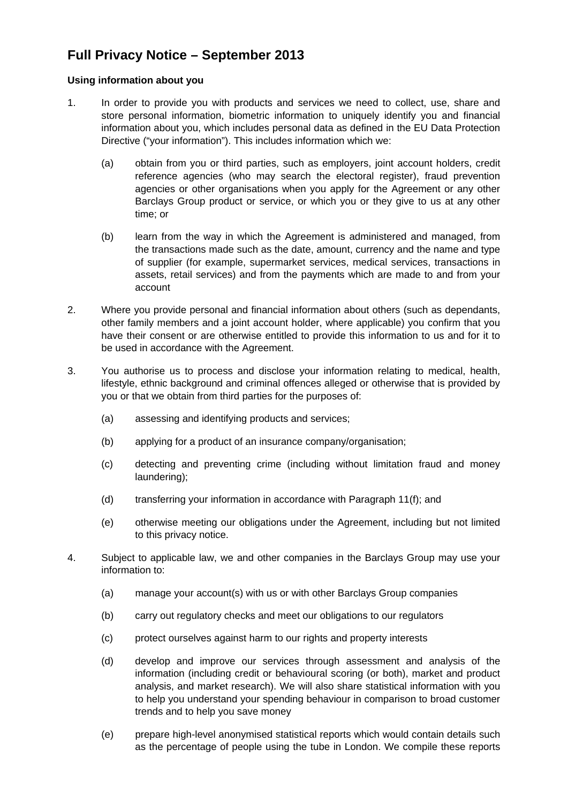## **Full Privacy Notice – September 2013**

## **Using information about you**

- 1. In order to provide you with products and services we need to collect, use, share and store personal information, biometric information to uniquely identify you and financial information about you, which includes personal data as defined in the EU Data Protection Directive ("your information"). This includes information which we:
	- (a) obtain from you or third parties, such as employers, joint account holders, credit reference agencies (who may search the electoral register), fraud prevention agencies or other organisations when you apply for the Agreement or any other Barclays Group product or service, or which you or they give to us at any other time; or
	- (b) learn from the way in which the Agreement is administered and managed, from the transactions made such as the date, amount, currency and the name and type of supplier (for example, supermarket services, medical services, transactions in assets, retail services) and from the payments which are made to and from your account
- 2. Where you provide personal and financial information about others (such as dependants, other family members and a joint account holder, where applicable) you confirm that you have their consent or are otherwise entitled to provide this information to us and for it to be used in accordance with the Agreement.
- 3. You authorise us to process and disclose your information relating to medical, health, lifestyle, ethnic background and criminal offences alleged or otherwise that is provided by you or that we obtain from third parties for the purposes of:
	- (a) assessing and identifying products and services;
	- (b) applying for a product of an insurance company/organisation;
	- (c) detecting and preventing crime (including without limitation fraud and money laundering);
	- (d) transferring your information in accordance with Paragraph 11(f); and
	- (e) otherwise meeting our obligations under the Agreement, including but not limited to this privacy notice.
- 4. Subject to applicable law, we and other companies in the Barclays Group may use your information to:
	- (a) manage your account(s) with us or with other Barclays Group companies
	- (b) carry out regulatory checks and meet our obligations to our regulators
	- (c) protect ourselves against harm to our rights and property interests
	- (d) develop and improve our services through assessment and analysis of the information (including credit or behavioural scoring (or both), market and product analysis, and market research). We will also share statistical information with you to help you understand your spending behaviour in comparison to broad customer trends and to help you save money
	- (e) prepare high-level anonymised statistical reports which would contain details such as the percentage of people using the tube in London. We compile these reports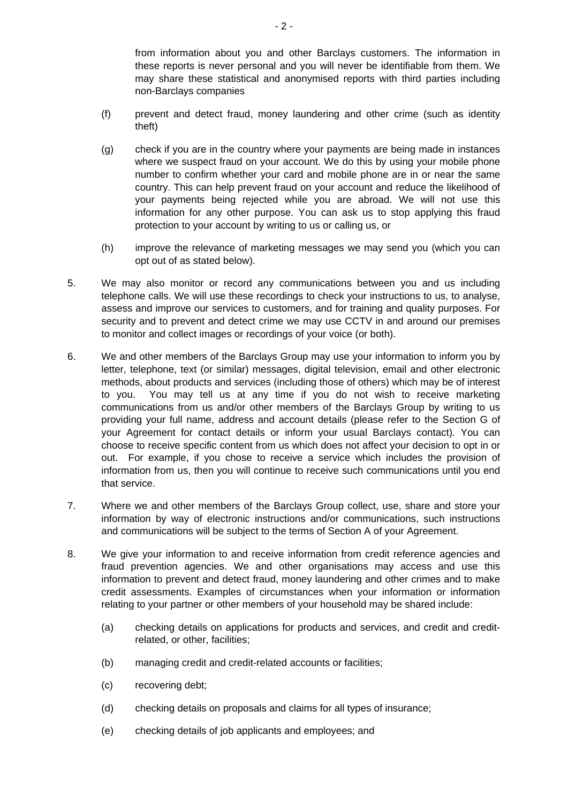from information about you and other Barclays customers. The information in these reports is never personal and you will never be identifiable from them. We may share these statistical and anonymised reports with third parties including non-Barclays companies

- (f) prevent and detect fraud, money laundering and other crime (such as identity theft)
- (g) check if you are in the country where your payments are being made in instances where we suspect fraud on your account. We do this by using your mobile phone number to confirm whether your card and mobile phone are in or near the same country. This can help prevent fraud on your account and reduce the likelihood of your payments being rejected while you are abroad. We will not use this information for any other purpose. You can ask us to stop applying this fraud protection to your account by writing to us or calling us, or
- (h) improve the relevance of marketing messages we may send you (which you can opt out of as stated below).
- 5. We may also monitor or record any communications between you and us including telephone calls. We will use these recordings to check your instructions to us, to analyse, assess and improve our services to customers, and for training and quality purposes. For security and to prevent and detect crime we may use CCTV in and around our premises to monitor and collect images or recordings of your voice (or both).
- 6. We and other members of the Barclays Group may use your information to inform you by letter, telephone, text (or similar) messages, digital television, email and other electronic methods, about products and services (including those of others) which may be of interest to you. You may tell us at any time if you do not wish to receive marketing communications from us and/or other members of the Barclays Group by writing to us providing your full name, address and account details (please refer to the Section G of your Agreement for contact details or inform your usual Barclays contact). You can choose to receive specific content from us which does not affect your decision to opt in or out. For example, if you chose to receive a service which includes the provision of information from us, then you will continue to receive such communications until you end that service.
- 7. Where we and other members of the Barclays Group collect, use, share and store your information by way of electronic instructions and/or communications, such instructions and communications will be subject to the terms of Section A of your Agreement.
- 8. We give your information to and receive information from credit reference agencies and fraud prevention agencies. We and other organisations may access and use this information to prevent and detect fraud, money laundering and other crimes and to make credit assessments. Examples of circumstances when your information or information relating to your partner or other members of your household may be shared include:
	- (a) checking details on applications for products and services, and credit and creditrelated, or other, facilities;
	- (b) managing credit and credit-related accounts or facilities;
	- (c) recovering debt;
	- (d) checking details on proposals and claims for all types of insurance;
	- (e) checking details of job applicants and employees; and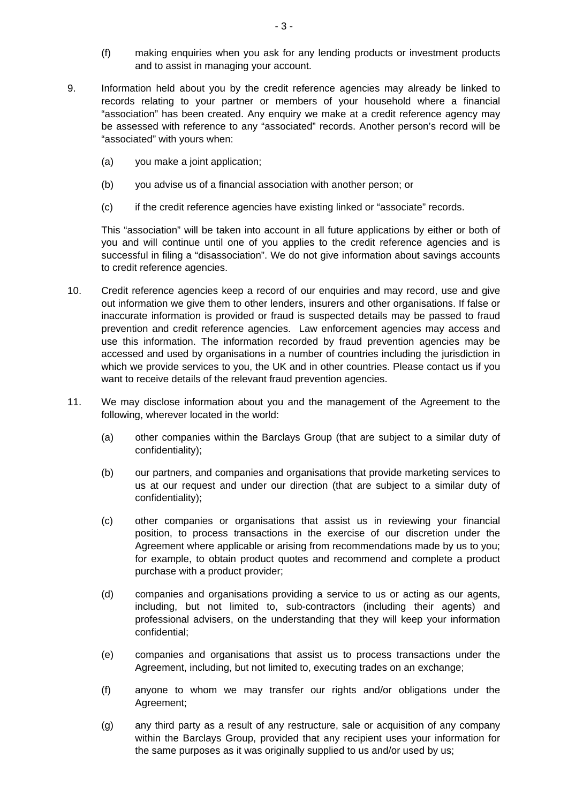- (f) making enquiries when you ask for any lending products or investment products and to assist in managing your account.
- 9. Information held about you by the credit reference agencies may already be linked to records relating to your partner or members of your household where a financial "association" has been created. Any enquiry we make at a credit reference agency may be assessed with reference to any "associated" records. Another person's record will be "associated" with yours when:
	- (a) you make a joint application;
	- (b) you advise us of a financial association with another person; or
	- (c) if the credit reference agencies have existing linked or "associate" records.

This "association" will be taken into account in all future applications by either or both of you and will continue until one of you applies to the credit reference agencies and is successful in filing a "disassociation". We do not give information about savings accounts to credit reference agencies.

- 10. Credit reference agencies keep a record of our enquiries and may record, use and give out information we give them to other lenders, insurers and other organisations. If false or inaccurate information is provided or fraud is suspected details may be passed to fraud prevention and credit reference agencies. Law enforcement agencies may access and use this information. The information recorded by fraud prevention agencies may be accessed and used by organisations in a number of countries including the jurisdiction in which we provide services to you, the UK and in other countries. Please contact us if you want to receive details of the relevant fraud prevention agencies.
- 11. We may disclose information about you and the management of the Agreement to the following, wherever located in the world:
	- (a) other companies within the Barclays Group (that are subject to a similar duty of confidentiality);
	- (b) our partners, and companies and organisations that provide marketing services to us at our request and under our direction (that are subject to a similar duty of confidentiality);
	- (c) other companies or organisations that assist us in reviewing your financial position, to process transactions in the exercise of our discretion under the Agreement where applicable or arising from recommendations made by us to you; for example, to obtain product quotes and recommend and complete a product purchase with a product provider;
	- (d) companies and organisations providing a service to us or acting as our agents, including, but not limited to, sub-contractors (including their agents) and professional advisers, on the understanding that they will keep your information confidential;
	- (e) companies and organisations that assist us to process transactions under the Agreement, including, but not limited to, executing trades on an exchange;
	- (f) anyone to whom we may transfer our rights and/or obligations under the Agreement;
	- (g) any third party as a result of any restructure, sale or acquisition of any company within the Barclays Group, provided that any recipient uses your information for the same purposes as it was originally supplied to us and/or used by us;